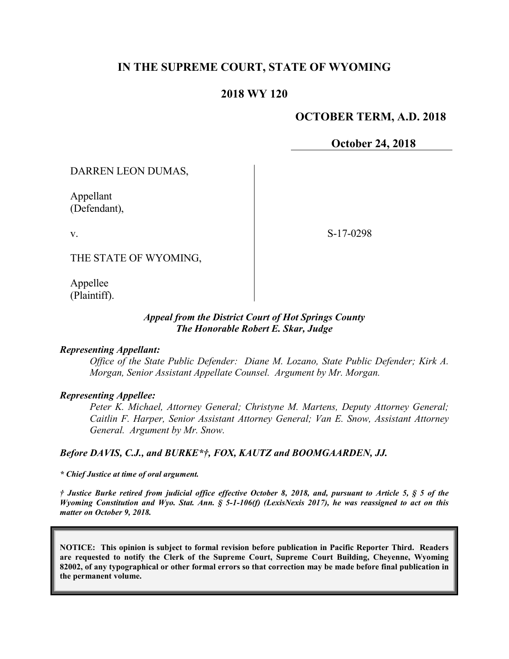# **IN THE SUPREME COURT, STATE OF WYOMING**

#### **2018 WY 120**

#### **OCTOBER TERM, A.D. 2018**

**October 24, 2018**

DARREN LEON DUMAS,

Appellant (Defendant),

v.

S-17-0298

THE STATE OF WYOMING,

Appellee (Plaintiff).

#### *Appeal from the District Court of Hot Springs County The Honorable Robert E. Skar, Judge*

#### *Representing Appellant:*

*Office of the State Public Defender: Diane M. Lozano, State Public Defender; Kirk A. Morgan, Senior Assistant Appellate Counsel. Argument by Mr. Morgan.*

#### *Representing Appellee:*

*Peter K. Michael, Attorney General; Christyne M. Martens, Deputy Attorney General; Caitlin F. Harper, Senior Assistant Attorney General; Van E. Snow, Assistant Attorney General. Argument by Mr. Snow.*

#### *Before DAVIS, C.J., and BURKE\*†, FOX, KAUTZ and BOOMGAARDEN, JJ.*

*\* Chief Justice at time of oral argument.*

*† Justice Burke retired from judicial office effective October 8, 2018, and, pursuant to Article 5, § 5 of the Wyoming Constitution and Wyo. Stat. Ann. § 5-1-106(f) (LexisNexis 2017), he was reassigned to act on this matter on October 9, 2018.*

**NOTICE: This opinion is subject to formal revision before publication in Pacific Reporter Third. Readers are requested to notify the Clerk of the Supreme Court, Supreme Court Building, Cheyenne, Wyoming 82002, of any typographical or other formal errors so that correction may be made before final publication in the permanent volume.**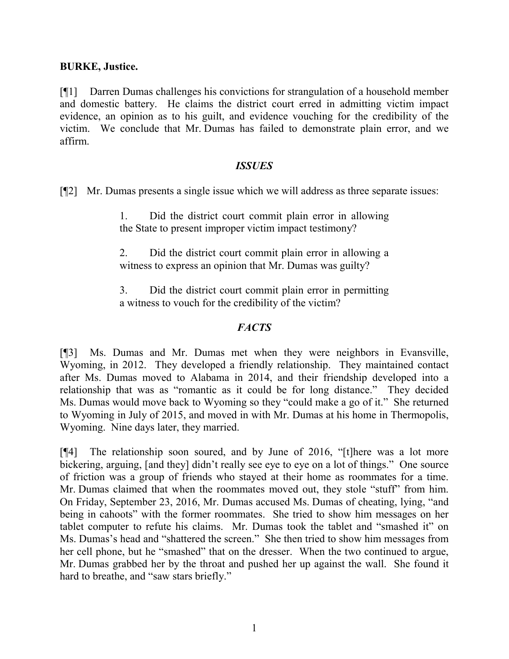## **BURKE, Justice.**

[¶1] Darren Dumas challenges his convictions for strangulation of a household member and domestic battery. He claims the district court erred in admitting victim impact evidence, an opinion as to his guilt, and evidence vouching for the credibility of the victim. We conclude that Mr. Dumas has failed to demonstrate plain error, and we affirm.

### *ISSUES*

[¶2] Mr. Dumas presents a single issue which we will address as three separate issues:

1. Did the district court commit plain error in allowing the State to present improper victim impact testimony?

2. Did the district court commit plain error in allowing a witness to express an opinion that Mr. Dumas was guilty?

3. Did the district court commit plain error in permitting a witness to vouch for the credibility of the victim?

# *FACTS*

[¶3] Ms. Dumas and Mr. Dumas met when they were neighbors in Evansville, Wyoming, in 2012. They developed a friendly relationship. They maintained contact after Ms. Dumas moved to Alabama in 2014, and their friendship developed into a relationship that was as "romantic as it could be for long distance." They decided Ms. Dumas would move back to Wyoming so they "could make a go of it." She returned to Wyoming in July of 2015, and moved in with Mr. Dumas at his home in Thermopolis, Wyoming. Nine days later, they married.

[¶4] The relationship soon soured, and by June of 2016, "[t]here was a lot more bickering, arguing, [and they] didn't really see eye to eye on a lot of things." One source of friction was a group of friends who stayed at their home as roommates for a time. Mr. Dumas claimed that when the roommates moved out, they stole "stuff" from him. On Friday, September 23, 2016, Mr. Dumas accused Ms. Dumas of cheating, lying, "and being in cahoots" with the former roommates. She tried to show him messages on her tablet computer to refute his claims. Mr. Dumas took the tablet and "smashed it" on Ms. Dumas's head and "shattered the screen." She then tried to show him messages from her cell phone, but he "smashed" that on the dresser. When the two continued to argue, Mr. Dumas grabbed her by the throat and pushed her up against the wall. She found it hard to breathe, and "saw stars briefly."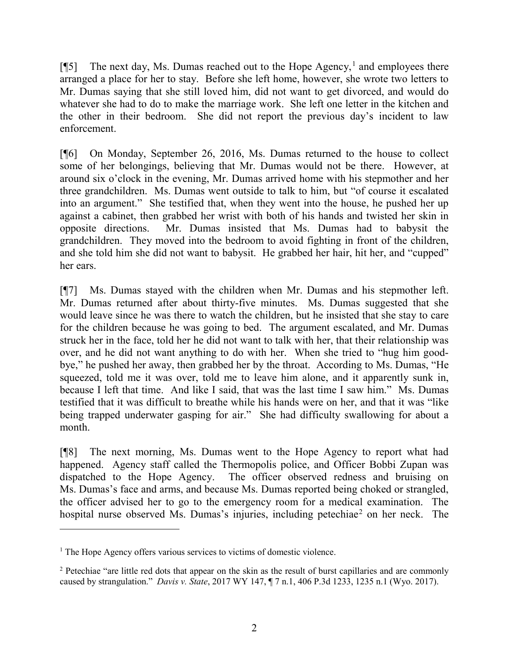[¶5] The next day, Ms. Dumas reached out to the Hope Agency,<sup>[1](#page-2-0)</sup> and employees there arranged a place for her to stay. Before she left home, however, she wrote two letters to Mr. Dumas saying that she still loved him, did not want to get divorced, and would do whatever she had to do to make the marriage work. She left one letter in the kitchen and the other in their bedroom. She did not report the previous day's incident to law enforcement.

[¶6] On Monday, September 26, 2016, Ms. Dumas returned to the house to collect some of her belongings, believing that Mr. Dumas would not be there. However, at around six o'clock in the evening, Mr. Dumas arrived home with his stepmother and her three grandchildren. Ms. Dumas went outside to talk to him, but "of course it escalated into an argument." She testified that, when they went into the house, he pushed her up against a cabinet, then grabbed her wrist with both of his hands and twisted her skin in opposite directions. Mr. Dumas insisted that Ms. Dumas had to babysit the grandchildren. They moved into the bedroom to avoid fighting in front of the children, and she told him she did not want to babysit. He grabbed her hair, hit her, and "cupped" her ears.

[¶7] Ms. Dumas stayed with the children when Mr. Dumas and his stepmother left. Mr. Dumas returned after about thirty-five minutes. Ms. Dumas suggested that she would leave since he was there to watch the children, but he insisted that she stay to care for the children because he was going to bed. The argument escalated, and Mr. Dumas struck her in the face, told her he did not want to talk with her, that their relationship was over, and he did not want anything to do with her. When she tried to "hug him goodbye," he pushed her away, then grabbed her by the throat. According to Ms. Dumas, "He squeezed, told me it was over, told me to leave him alone, and it apparently sunk in, because I left that time. And like I said, that was the last time I saw him." Ms. Dumas testified that it was difficult to breathe while his hands were on her, and that it was "like being trapped underwater gasping for air." She had difficulty swallowing for about a month.

[¶8] The next morning, Ms. Dumas went to the Hope Agency to report what had happened. Agency staff called the Thermopolis police, and Officer Bobbi Zupan was dispatched to the Hope Agency. The officer observed redness and bruising on Ms. Dumas's face and arms, and because Ms. Dumas reported being choked or strangled, the officer advised her to go to the emergency room for a medical examination. The hospital nurse observed Ms. Dumas's injuries, including petechiae<sup>[2](#page-2-1)</sup> on her neck. The

 $\overline{a}$ 

<span id="page-2-0"></span><sup>&</sup>lt;sup>1</sup> The Hope Agency offers various services to victims of domestic violence.

<span id="page-2-1"></span><sup>&</sup>lt;sup>2</sup> Petechiae "are little red dots that appear on the skin as the result of burst capillaries and are commonly caused by strangulation." *Davis v. State*, 2017 WY 147, ¶ 7 n.1, 406 P.3d 1233, 1235 n.1 (Wyo. 2017).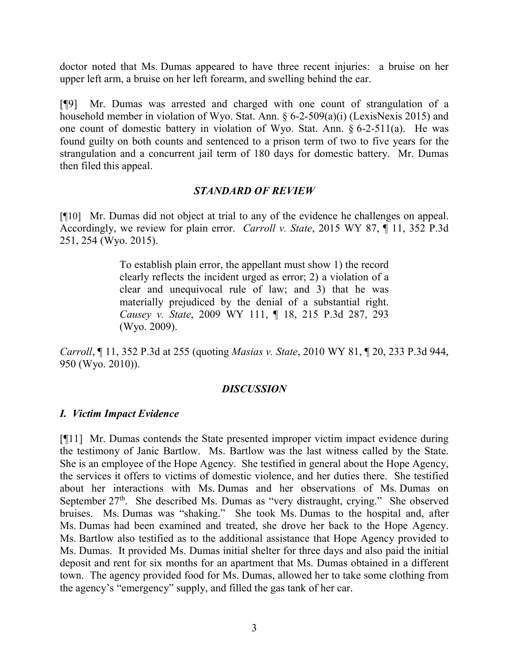doctor noted that Ms. Dumas appeared to have three recent injuries: a bruise on her upper left arm, a bruise on her left forearm, and swelling behind the ear.

[¶9] Mr. Dumas was arrested and charged with one count of strangulation of a household member in violation of Wyo. Stat. Ann. § 6-2-509(a)(i) (LexisNexis 2015) and one count of domestic battery in violation of Wyo. Stat. Ann. § 6-2-511(a). He was found guilty on both counts and sentenced to a prison term of two to five years for the strangulation and a concurrent jail term of 180 days for domestic battery. Mr. Dumas then filed this appeal.

## *STANDARD OF REVIEW*

[¶10] Mr. Dumas did not object at trial to any of the evidence he challenges on appeal. Accordingly, we review for plain error. *Carroll v. State*, 2015 WY 87, ¶ 11, 352 P.3d 251, 254 (Wyo. 2015).

> To establish plain error, the appellant must show 1) the record clearly reflects the incident urged as error; 2) a violation of a clear and unequivocal rule of law; and 3) that he was materially prejudiced by the denial of a substantial right. *Causey v. State*, 2009 WY 111, ¶ 18, 215 P.3d 287, 293 (Wyo. 2009).

*Carroll*, ¶ 11, 352 P.3d at 255 (quoting *Masias v. State*, 2010 WY 81, ¶ 20, 233 P.3d 944, 950 (Wyo. 2010)).

### *DISCUSSION*

### *I. Victim Impact Evidence*

[¶11] Mr. Dumas contends the State presented improper victim impact evidence during the testimony of Janic Bartlow. Ms. Bartlow was the last witness called by the State. She is an employee of the Hope Agency. She testified in general about the Hope Agency, the services it offers to victims of domestic violence, and her duties there. She testified about her interactions with Ms. Dumas and her observations of Ms. Dumas on September  $27<sup>th</sup>$ . She described Ms. Dumas as "very distraught, crying." She observed bruises. Ms. Dumas was "shaking." She took Ms. Dumas to the hospital and, after Ms. Dumas had been examined and treated, she drove her back to the Hope Agency. Ms. Bartlow also testified as to the additional assistance that Hope Agency provided to Ms. Dumas. It provided Ms. Dumas initial shelter for three days and also paid the initial deposit and rent for six months for an apartment that Ms. Dumas obtained in a different town. The agency provided food for Ms. Dumas, allowed her to take some clothing from the agency's "emergency" supply, and filled the gas tank of her car.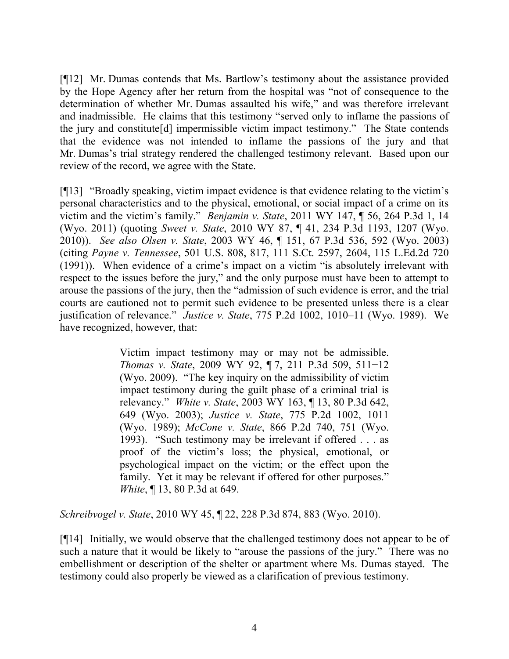[¶12] Mr. Dumas contends that Ms. Bartlow's testimony about the assistance provided by the Hope Agency after her return from the hospital was "not of consequence to the determination of whether Mr. Dumas assaulted his wife," and was therefore irrelevant and inadmissible. He claims that this testimony "served only to inflame the passions of the jury and constitute[d] impermissible victim impact testimony." The State contends that the evidence was not intended to inflame the passions of the jury and that Mr. Dumas's trial strategy rendered the challenged testimony relevant. Based upon our review of the record, we agree with the State.

[¶13] "Broadly speaking, victim impact evidence is that evidence relating to the victim's personal characteristics and to the physical, emotional, or social impact of a crime on its victim and the victim's family." *Benjamin v. State*, 2011 WY 147, ¶ 56, 264 P.3d 1, 14 (Wyo. 2011) (quoting *Sweet v. State*, 2010 WY 87, ¶ 41, 234 P.3d 1193, 1207 (Wyo. 2010)). *See also Olsen v. State*, 2003 WY 46, ¶ 151, 67 P.3d 536, 592 (Wyo. 2003) (citing *Payne v. Tennessee*, 501 U.S. 808, 817, 111 S.Ct. 2597, 2604, 115 L.Ed.2d 720 (1991)). When evidence of a crime's impact on a victim "is absolutely irrelevant with respect to the issues before the jury," and the only purpose must have been to attempt to arouse the passions of the jury, then the "admission of such evidence is error, and the trial courts are cautioned not to permit such evidence to be presented unless there is a clear justification of relevance." *Justice v. State*, 775 P.2d 1002, 1010–11 (Wyo. 1989). We have recognized, however, that:

> Victim impact testimony may or may not be admissible. *Thomas v. State*, 2009 WY 92, ¶ 7, 211 P.3d 509, 511−12 (Wyo. 2009). "The key inquiry on the admissibility of victim impact testimony during the guilt phase of a criminal trial is relevancy." *White v. State*, 2003 WY 163, ¶ 13, 80 P.3d 642, 649 (Wyo. 2003); *Justice v. State*, 775 P.2d 1002, 1011 (Wyo. 1989); *McCone v. State*, 866 P.2d 740, 751 (Wyo. 1993). "Such testimony may be irrelevant if offered . . . as proof of the victim's loss; the physical, emotional, or psychological impact on the victim; or the effect upon the family. Yet it may be relevant if offered for other purposes." *White*, ¶ 13, 80 P.3d at 649.

*Schreibvogel v. State*, 2010 WY 45, ¶ 22, 228 P.3d 874, 883 (Wyo. 2010).

[¶14] Initially, we would observe that the challenged testimony does not appear to be of such a nature that it would be likely to "arouse the passions of the jury." There was no embellishment or description of the shelter or apartment where Ms. Dumas stayed. The testimony could also properly be viewed as a clarification of previous testimony.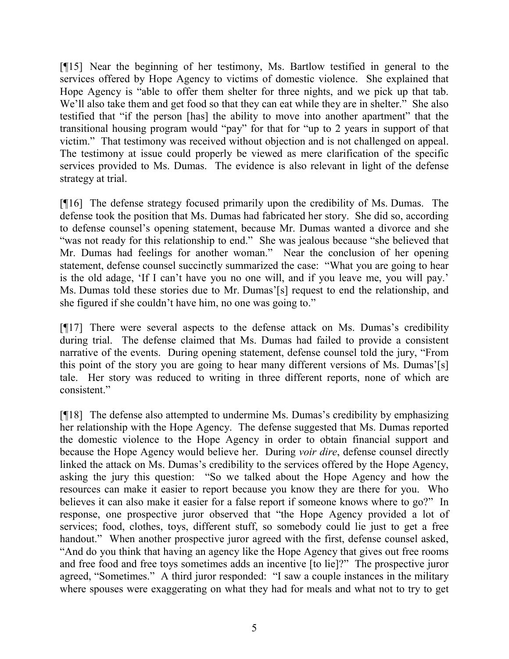[¶15] Near the beginning of her testimony, Ms. Bartlow testified in general to the services offered by Hope Agency to victims of domestic violence. She explained that Hope Agency is "able to offer them shelter for three nights, and we pick up that tab. We'll also take them and get food so that they can eat while they are in shelter." She also testified that "if the person [has] the ability to move into another apartment" that the transitional housing program would "pay" for that for "up to 2 years in support of that victim." That testimony was received without objection and is not challenged on appeal. The testimony at issue could properly be viewed as mere clarification of the specific services provided to Ms. Dumas. The evidence is also relevant in light of the defense strategy at trial.

[¶16] The defense strategy focused primarily upon the credibility of Ms. Dumas. The defense took the position that Ms. Dumas had fabricated her story. She did so, according to defense counsel's opening statement, because Mr. Dumas wanted a divorce and she "was not ready for this relationship to end." She was jealous because "she believed that Mr. Dumas had feelings for another woman." Near the conclusion of her opening statement, defense counsel succinctly summarized the case: "What you are going to hear is the old adage, 'If I can't have you no one will, and if you leave me, you will pay.' Ms. Dumas told these stories due to Mr. Dumas'[s] request to end the relationship, and she figured if she couldn't have him, no one was going to."

[¶17] There were several aspects to the defense attack on Ms. Dumas's credibility during trial. The defense claimed that Ms. Dumas had failed to provide a consistent narrative of the events. During opening statement, defense counsel told the jury, "From this point of the story you are going to hear many different versions of Ms. Dumas'[s] tale. Her story was reduced to writing in three different reports, none of which are consistent."

[¶18] The defense also attempted to undermine Ms. Dumas's credibility by emphasizing her relationship with the Hope Agency. The defense suggested that Ms. Dumas reported the domestic violence to the Hope Agency in order to obtain financial support and because the Hope Agency would believe her. During *voir dire*, defense counsel directly linked the attack on Ms. Dumas's credibility to the services offered by the Hope Agency, asking the jury this question: "So we talked about the Hope Agency and how the resources can make it easier to report because you know they are there for you. Who believes it can also make it easier for a false report if someone knows where to go?" In response, one prospective juror observed that "the Hope Agency provided a lot of services; food, clothes, toys, different stuff, so somebody could lie just to get a free handout." When another prospective juror agreed with the first, defense counsel asked, "And do you think that having an agency like the Hope Agency that gives out free rooms and free food and free toys sometimes adds an incentive [to lie]?" The prospective juror agreed, "Sometimes." A third juror responded: "I saw a couple instances in the military where spouses were exaggerating on what they had for meals and what not to try to get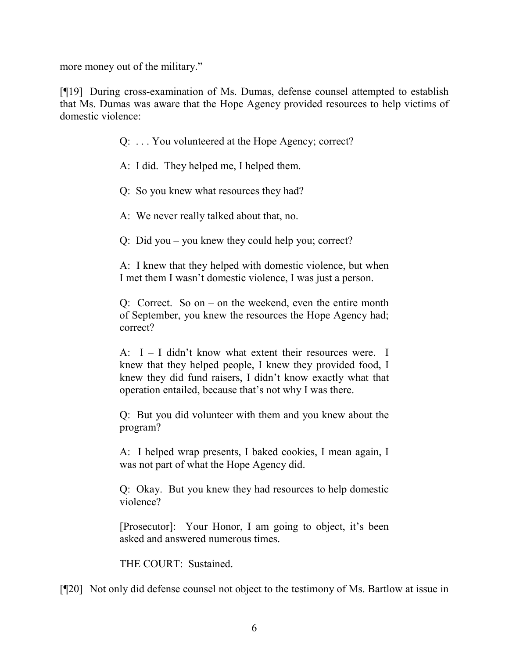more money out of the military."

[¶19] During cross-examination of Ms. Dumas, defense counsel attempted to establish that Ms. Dumas was aware that the Hope Agency provided resources to help victims of domestic violence:

- Q: . . . You volunteered at the Hope Agency; correct?
- A: I did. They helped me, I helped them.
- Q: So you knew what resources they had?
- A: We never really talked about that, no.
- Q: Did you you knew they could help you; correct?
- A: I knew that they helped with domestic violence, but when I met them I wasn't domestic violence, I was just a person.

Q: Correct. So on – on the weekend, even the entire month of September, you knew the resources the Hope Agency had; correct?

A: I – I didn't know what extent their resources were. I knew that they helped people, I knew they provided food, I knew they did fund raisers, I didn't know exactly what that operation entailed, because that's not why I was there.

Q: But you did volunteer with them and you knew about the program?

A: I helped wrap presents, I baked cookies, I mean again, I was not part of what the Hope Agency did.

Q: Okay. But you knew they had resources to help domestic violence?

[Prosecutor]: Your Honor, I am going to object, it's been asked and answered numerous times.

THE COURT: Sustained.

[¶20] Not only did defense counsel not object to the testimony of Ms. Bartlow at issue in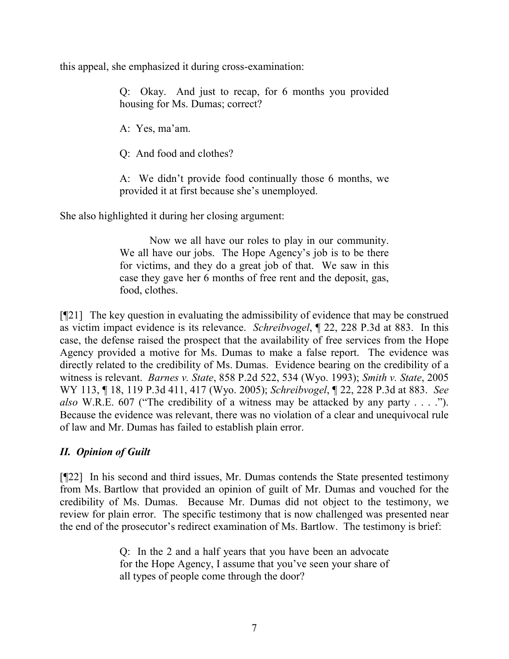this appeal, she emphasized it during cross-examination:

Q: Okay. And just to recap, for 6 months you provided housing for Ms. Dumas; correct?

A: Yes, ma'am.

Q: And food and clothes?

A: We didn't provide food continually those 6 months, we provided it at first because she's unemployed.

She also highlighted it during her closing argument:

Now we all have our roles to play in our community. We all have our jobs. The Hope Agency's job is to be there for victims, and they do a great job of that. We saw in this case they gave her 6 months of free rent and the deposit, gas, food, clothes.

[¶21] The key question in evaluating the admissibility of evidence that may be construed as victim impact evidence is its relevance. *Schreibvogel*, ¶ 22, 228 P.3d at 883. In this case, the defense raised the prospect that the availability of free services from the Hope Agency provided a motive for Ms. Dumas to make a false report. The evidence was directly related to the credibility of Ms. Dumas. Evidence bearing on the credibility of a witness is relevant. *Barnes v. State*, 858 P.2d 522, 534 (Wyo. 1993); *Smith v. State*, 2005 WY 113, ¶ 18, 119 P.3d 411, 417 (Wyo. 2005); *Schreibvogel*, ¶ 22, 228 P.3d at 883. *See also* W.R.E. 607 ("The credibility of a witness may be attacked by any party . . . ."). Because the evidence was relevant, there was no violation of a clear and unequivocal rule of law and Mr. Dumas has failed to establish plain error.

# *II. Opinion of Guilt*

[¶22] In his second and third issues, Mr. Dumas contends the State presented testimony from Ms. Bartlow that provided an opinion of guilt of Mr. Dumas and vouched for the credibility of Ms. Dumas. Because Mr. Dumas did not object to the testimony, we review for plain error. The specific testimony that is now challenged was presented near the end of the prosecutor's redirect examination of Ms. Bartlow. The testimony is brief:

> Q: In the 2 and a half years that you have been an advocate for the Hope Agency, I assume that you've seen your share of all types of people come through the door?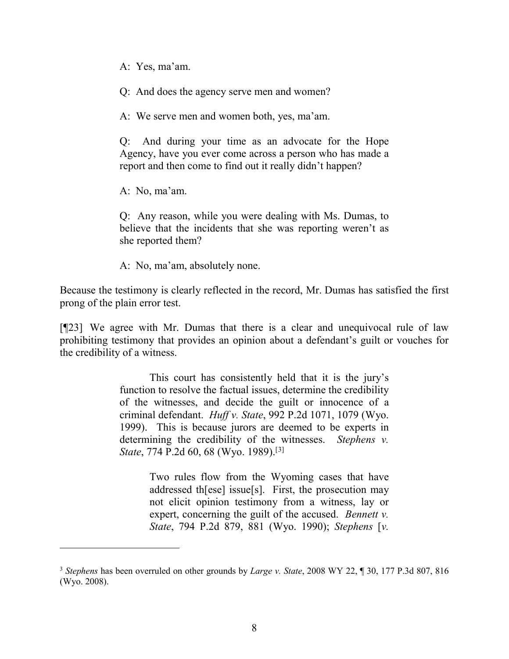A: Yes, ma'am.

Q: And does the agency serve men and women?

A: We serve men and women both, yes, ma'am.

Q: And during your time as an advocate for the Hope Agency, have you ever come across a person who has made a report and then come to find out it really didn't happen?

A: No, ma'am.

 $\overline{a}$ 

Q: Any reason, while you were dealing with Ms. Dumas, to believe that the incidents that she was reporting weren't as she reported them?

A: No, ma'am, absolutely none.

Because the testimony is clearly reflected in the record, Mr. Dumas has satisfied the first prong of the plain error test.

[¶23] We agree with Mr. Dumas that there is a clear and unequivocal rule of law prohibiting testimony that provides an opinion about a defendant's guilt or vouches for the credibility of a witness.

> This court has consistently held that it is the jury's function to resolve the factual issues, determine the credibility of the witnesses, and decide the guilt or innocence of a criminal defendant. *Huff v. State*, 992 P.2d 1071, 1079 (Wyo. 1999). This is because jurors are deemed to be experts in determining the credibility of the witnesses. *Stephens v. State*, 774 P.2d 60, 68 (Wyo. 1989). [[3\]](#page-8-0)

> > Two rules flow from the Wyoming cases that have addressed th[ese] issue[s]. First, the prosecution may not elicit opinion testimony from a witness, lay or expert, concerning the guilt of the accused. *Bennett v. State*, 794 P.2d 879, 881 (Wyo. 1990); *Stephens* [*v.*

<span id="page-8-0"></span><sup>3</sup> *Stephens* has been overruled on other grounds by *Large v. State*, 2008 WY 22, ¶ 30, 177 P.3d 807, 816 (Wyo. 2008).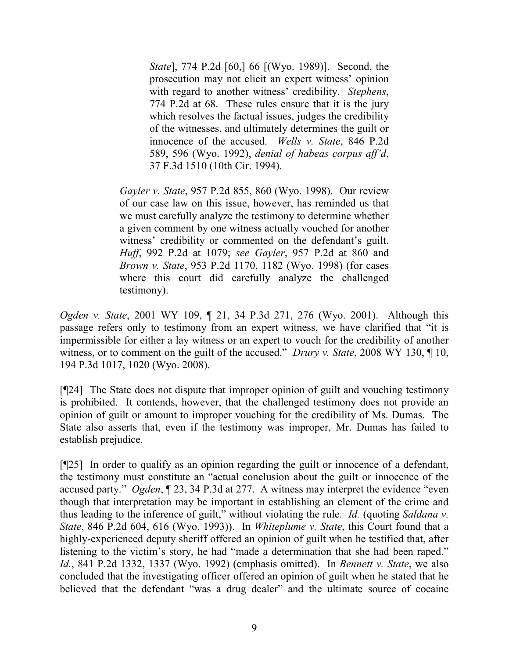*State*], 774 P.2d [60,] 66 [(Wyo. 1989)]. Second, the prosecution may not elicit an expert witness' opinion with regard to another witness' credibility. *Stephens*, 774 P.2d at 68. These rules ensure that it is the jury which resolves the factual issues, judges the credibility of the witnesses, and ultimately determines the guilt or innocence of the accused. *Wells v. State*, 846 P.2d 589, 596 (Wyo. 1992), *denial of habeas corpus aff'd*, 37 F.3d 1510 (10th Cir. 1994).

*Gayler v. State*, 957 P.2d 855, 860 (Wyo. 1998). Our review of our case law on this issue, however, has reminded us that we must carefully analyze the testimony to determine whether a given comment by one witness actually vouched for another witness' credibility or commented on the defendant's guilt. *Huff*, 992 P.2d at 1079; *see Gayler*, 957 P.2d at 860 and *Brown v. State*, 953 P.2d 1170, 1182 (Wyo. 1998) (for cases where this court did carefully analyze the challenged testimony).

*Ogden v. State*, 2001 WY 109, ¶ 21, 34 P.3d 271, 276 (Wyo. 2001). Although this passage refers only to testimony from an expert witness, we have clarified that "it is impermissible for either a lay witness or an expert to vouch for the credibility of another witness, or to comment on the guilt of the accused." *Drury v. State*, 2008 WY 130, ¶ 10, 194 P.3d 1017, 1020 (Wyo. 2008).

[¶24] The State does not dispute that improper opinion of guilt and vouching testimony is prohibited. It contends, however, that the challenged testimony does not provide an opinion of guilt or amount to improper vouching for the credibility of Ms. Dumas. The State also asserts that, even if the testimony was improper, Mr. Dumas has failed to establish prejudice.

[¶25] In order to qualify as an opinion regarding the guilt or innocence of a defendant, the testimony must constitute an "actual conclusion about the guilt or innocence of the accused party." *Ogden*, ¶ 23, 34 P.3d at 277. A witness may interpret the evidence "even though that interpretation may be important in establishing an element of the crime and thus leading to the inference of guilt," without violating the rule. *Id.* (quoting *Saldana v. State*, 846 P.2d 604, 616 (Wyo. 1993)). In *Whiteplume v. State*, this Court found that a highly-experienced deputy sheriff offered an opinion of guilt when he testified that, after listening to the victim's story, he had "made a determination that she had been raped." *Id.*, 841 P.2d 1332, 1337 (Wyo. 1992) (emphasis omitted). In *Bennett v. State*, we also concluded that the investigating officer offered an opinion of guilt when he stated that he believed that the defendant "was a drug dealer" and the ultimate source of cocaine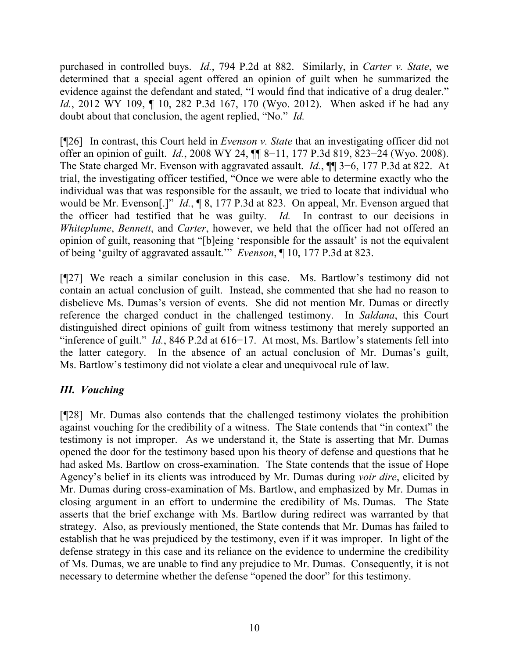purchased in controlled buys. *Id.*, 794 P.2d at 882. Similarly, in *Carter v. State*, we determined that a special agent offered an opinion of guilt when he summarized the evidence against the defendant and stated, "I would find that indicative of a drug dealer." *Id.*, 2012 WY 109, 1 10, 282 P.3d 167, 170 (Wyo. 2012). When asked if he had any doubt about that conclusion, the agent replied, "No." *Id.* 

[¶26] In contrast, this Court held in *Evenson v. State* that an investigating officer did not offer an opinion of guilt. *Id.*, 2008 WY 24, ¶¶ 8−11, 177 P.3d 819, 823−24 (Wyo. 2008). The State charged Mr. Evenson with aggravated assault. *Id.*, ¶¶ 3−6, 177 P.3d at 822. At trial, the investigating officer testified, "Once we were able to determine exactly who the individual was that was responsible for the assault, we tried to locate that individual who would be Mr. Evenson[.]" *Id.*, ¶ 8, 177 P.3d at 823. On appeal, Mr. Evenson argued that the officer had testified that he was guilty. *Id.* In contrast to our decisions in *Whiteplume*, *Bennett*, and *Carter*, however, we held that the officer had not offered an opinion of guilt, reasoning that "[b]eing 'responsible for the assault' is not the equivalent of being 'guilty of aggravated assault.'" *Evenson*, ¶ 10, 177 P.3d at 823.

[¶27] We reach a similar conclusion in this case. Ms. Bartlow's testimony did not contain an actual conclusion of guilt. Instead, she commented that she had no reason to disbelieve Ms. Dumas's version of events. She did not mention Mr. Dumas or directly reference the charged conduct in the challenged testimony. In *Saldana*, this Court distinguished direct opinions of guilt from witness testimony that merely supported an "inference of guilt." *Id.*, 846 P.2d at 616−17. At most, Ms. Bartlow's statements fell into the latter category. In the absence of an actual conclusion of Mr. Dumas's guilt, Ms. Bartlow's testimony did not violate a clear and unequivocal rule of law.

# *III. Vouching*

[¶28] Mr. Dumas also contends that the challenged testimony violates the prohibition against vouching for the credibility of a witness. The State contends that "in context" the testimony is not improper. As we understand it, the State is asserting that Mr. Dumas opened the door for the testimony based upon his theory of defense and questions that he had asked Ms. Bartlow on cross-examination. The State contends that the issue of Hope Agency's belief in its clients was introduced by Mr. Dumas during *voir dire*, elicited by Mr. Dumas during cross-examination of Ms. Bartlow, and emphasized by Mr. Dumas in closing argument in an effort to undermine the credibility of Ms. Dumas. The State asserts that the brief exchange with Ms. Bartlow during redirect was warranted by that strategy. Also, as previously mentioned, the State contends that Mr. Dumas has failed to establish that he was prejudiced by the testimony, even if it was improper. In light of the defense strategy in this case and its reliance on the evidence to undermine the credibility of Ms. Dumas, we are unable to find any prejudice to Mr. Dumas. Consequently, it is not necessary to determine whether the defense "opened the door" for this testimony.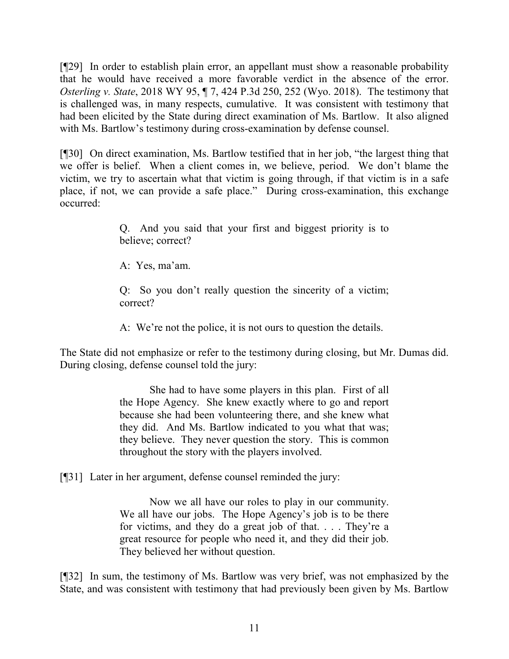[¶29] In order to establish plain error, an appellant must show a reasonable probability that he would have received a more favorable verdict in the absence of the error. *Osterling v. State*, 2018 WY 95, ¶ 7, 424 P.3d 250, 252 (Wyo. 2018). The testimony that is challenged was, in many respects, cumulative. It was consistent with testimony that had been elicited by the State during direct examination of Ms. Bartlow. It also aligned with Ms. Bartlow's testimony during cross-examination by defense counsel.

[¶30] On direct examination, Ms. Bartlow testified that in her job, "the largest thing that we offer is belief. When a client comes in, we believe, period. We don't blame the victim, we try to ascertain what that victim is going through, if that victim is in a safe place, if not, we can provide a safe place." During cross-examination, this exchange occurred:

> Q. And you said that your first and biggest priority is to believe; correct?

A: Yes, ma'am.

Q: So you don't really question the sincerity of a victim; correct?

A: We're not the police, it is not ours to question the details.

The State did not emphasize or refer to the testimony during closing, but Mr. Dumas did. During closing, defense counsel told the jury:

> She had to have some players in this plan. First of all the Hope Agency. She knew exactly where to go and report because she had been volunteering there, and she knew what they did. And Ms. Bartlow indicated to you what that was; they believe. They never question the story. This is common throughout the story with the players involved.

[¶31] Later in her argument, defense counsel reminded the jury:

Now we all have our roles to play in our community. We all have our jobs. The Hope Agency's job is to be there for victims, and they do a great job of that. . . . They're a great resource for people who need it, and they did their job. They believed her without question.

[¶32] In sum, the testimony of Ms. Bartlow was very brief, was not emphasized by the State, and was consistent with testimony that had previously been given by Ms. Bartlow